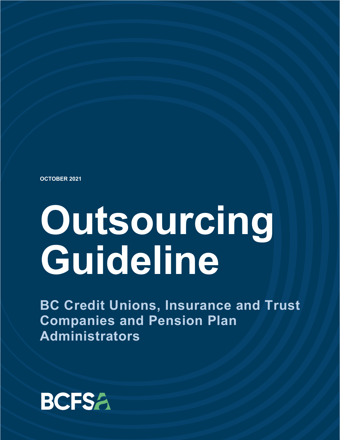**OCTOBER 2021**

# **Outsourcing Guideline**

**BC Credit Unions, Insurance and Trust Companies and Pension Plan Administrators**

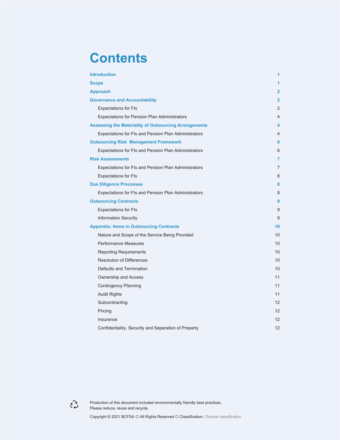### **Contents**

| <b>Introduction</b>                                          | 1                 |
|--------------------------------------------------------------|-------------------|
| <b>Scope</b>                                                 | 1                 |
| <b>Approach</b>                                              | $\overline{2}$    |
| <b>Governance and Accountability</b>                         | $\mathbf{2}$      |
| <b>Expectations for FIs</b>                                  | 2                 |
| <b>Expectations for Pension Plan Administrators</b>          | 4                 |
| <b>Assessing the Materiality of Outsourcing Arrangements</b> | 4                 |
| Expectations for FIs and Pension Plan Administrators         | 4                 |
| <b>Outsourcing Risk Management Framework</b>                 | 6                 |
| Expectations for FIs and Pension Plan Administrators         | 6                 |
| <b>Risk Assessments</b>                                      | 7                 |
| Expectations for FIs and Pension Plan Administrators         | 7                 |
| <b>Expectations for FIs</b>                                  | 8                 |
| <b>Due Diligence Processes</b>                               | 8                 |
| Expectations for FIs and Pension Plan Administrators         | 8                 |
| <b>Outsourcing Contracts</b>                                 | 9                 |
| <b>Expectations for FIs</b>                                  | 9                 |
| <b>Information Security</b>                                  | 9                 |
| <b>Appendix: Items in Outsourcing Contracts</b>              | 10                |
| Nature and Scope of the Service Being Provided               | 10                |
| <b>Performance Measures</b>                                  | 10                |
| <b>Reporting Requirements</b>                                | 10                |
| <b>Resolution of Differences</b>                             | 10                |
| Defaults and Termination                                     | 10                |
| Ownership and Access                                         | 11                |
| <b>Contingency Planning</b>                                  | 11                |
| <b>Audit Rights</b>                                          | 11                |
| Subcontracting                                               | 12                |
| Pricing                                                      | 12 <sup>2</sup>   |
| Insurance                                                    | 12                |
| Confidentiality, Security and Separation of Property         | $12 \overline{ }$ |



Production of this document included environmentally friendly best practices. Please reduce, reuse and recycle.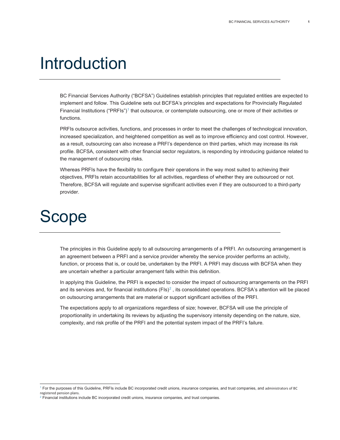### <span id="page-2-0"></span>Introduction

BC Financial Services Authority ("BCFSA") Guidelines establish principles that regulated entities are expected to implement and follow. This Guideline sets out BCFSA's principles and expectations for Provincially Regulated Financial Institutions ("PRFIs")<sup>[1](#page-2-2)</sup> that outsource, or contemplate outsourcing, one or more of their activities or functions.

PRFIs outsource activities, functions, and processes in order to meet the challenges of technological innovation, increased specialization, and heightened competition as well as to improve efficiency and cost control. However, as a result, outsourcing can also increase a PRFI's dependence on third parties, which may increase its risk profile. BCFSA, consistent with other financial sector regulators, is responding by introducing guidance related to the management of outsourcing risks.

Whereas PRFIs have the flexibility to configure their operations in the way most suited to achieving their objectives, PRFIs retain accountabilities for all activities, regardless of whether they are outsourced or not. Therefore, BCFSA will regulate and supervise significant activities even if they are outsourced to a third-party provider.

### <span id="page-2-1"></span>Scope

The principles in this Guideline apply to all outsourcing arrangements of a PRFI. An outsourcing arrangement is an agreement between a PRFI and a service provider whereby the service provider performs an activity, function, or process that is, or could be, undertaken by the PRFI. A PRFI may discuss with BCFSA when they are uncertain whether a particular arrangement falls within this definition.

In applying this Guideline, the PRFI is expected to consider the impact of outsourcing arrangements on the PRFI and its services and, for financial institutions  $(FIs)^2$  $(FIs)^2$ , its consolidated operations. BCFSA's attention will be placed on outsourcing arrangements that are material or support significant activities of the PRFI.

The expectations apply to all organizations regardless of size; however, BCFSA will use the principle of proportionality in undertaking its reviews by adjusting the supervisory intensity depending on the nature, size, complexity, and risk profile of the PRFI and the potential system impact of the PRFI's failure.

<span id="page-2-2"></span><sup>&</sup>lt;sup>1</sup> For the purposes of this Guideline, PRFIs include BC incorporated credit unions, insurance companies, and trust companies, and administrators of BC registered pension plans.

<span id="page-2-3"></span> $2$  Financial institutions include BC incorporated credit unions, insurance companies, and trust companies.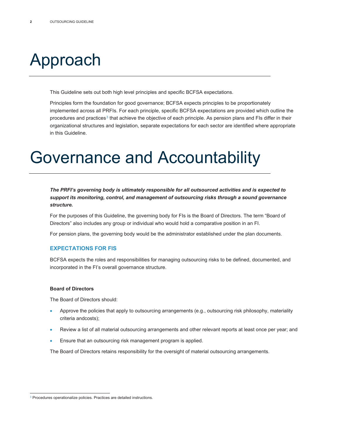### <span id="page-3-0"></span>Approach

This Guideline sets out both high level principles and specific BCFSA expectations.

Principles form the foundation for good governance; BCFSA expects principles to be proportionately implemented across all PRFIs. For each principle, specific BCFSA expectations are provided which outline the procedures and practices<sup>[3](#page-3-3)</sup> that achieve the objective of each principle. As pension plans and FIs differ in their organizational structures and legislation, separate expectations for each sector are identified where appropriate in this Guideline.

### <span id="page-3-1"></span>Governance and Accountability

*The PRFI's governing body is ultimately responsible for all outsourced activities and is expected to support its monitoring, control, and management of outsourcing risks through a sound governance structure.*

For the purposes of this Guideline, the governing body for FIs is the Board of Directors. The term "Board of Directors" also includes any group or individual who would hold a comparative position in an FI.

For pension plans, the governing body would be the administrator established under the plan documents.

### <span id="page-3-2"></span>**EXPECTATIONS FOR FIS**

BCFSA expects the roles and responsibilities for managing outsourcing risks to be defined, documented, and incorporated in the FI's overall governance structure.

#### **Board of Directors**

The Board of Directors should:

- Approve the policies that apply to outsourcing arrangements (e.g., outsourcing risk philosophy, materiality criteria andcosts);
- Review a list of all material outsourcing arrangements and other relevant reports at least once per year; and
- Ensure that an outsourcing risk management program is applied.

The Board of Directors retains responsibility for the oversight of material outsourcing arrangements.

<span id="page-3-3"></span><sup>&</sup>lt;sup>3</sup> Procedures operationalize policies. Practices are detailed instructions.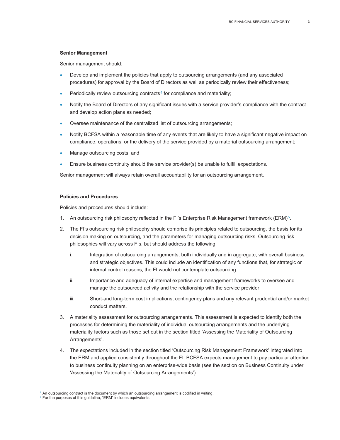#### **Senior Management**

Senior management should:

- Develop and implement the policies that apply to outsourcing arrangements (and any associated procedures) for approval by the Board of Directors as well as periodically review their effectiveness;
- Periodically review outsourcing contracts<sup>[4](#page-4-0)</sup> for compliance and materiality;
- Notify the Board of Directors of any significant issues with a service provider's compliance with the contract and develop action plans as needed;
- Oversee maintenance of the centralized list of outsourcing arrangements;
- Notify BCFSA within a reasonable time of any events that are likely to have a significant negative impact on compliance, operations, or the delivery of the service provided by a material outsourcing arrangement;
- Manage outsourcing costs; and
- Ensure business continuity should the service provider(s) be unable to fulfill expectations.

Senior management will always retain overall accountability for an outsourcing arrangement.

#### **Policies and Procedures**

Policies and procedures should include:

- 1. An outsourcing risk philosophy reflected in the FI's Enterprise Risk Management framework (ERM)<sup>[5](#page-4-1)</sup>.
- 2. The FI's outsourcing risk philosophy should comprise its principles related to outsourcing, the basis for its decision making on outsourcing, and the parameters for managing outsourcing risks. Outsourcing risk philosophies will vary across FIs, but should address the following:
	- i. Integration of outsourcing arrangements, both individually and in aggregate, with overall business and strategic objectives. This could include an identification of any functions that, for strategic or internal control reasons, the FI would not contemplate outsourcing.
	- ii. Importance and adequacy of internal expertise and management frameworks to oversee and manage the outsourced activity and the relationship with the service provider.
	- iii. Short-and long-term cost implications, contingency plans and any relevant prudential and/or market conduct matters.
- 3. A materiality assessment for outsourcing arrangements. This assessment is expected to identify both the processes for determining the materiality of individual outsourcing arrangements and the underlying materiality factors such as those set out in the section titled 'Assessing the Materiality of Outsourcing Arrangements'.
- 4. The expectations included in the section titled 'Outsourcing Risk Management Framework' integrated into the ERM and applied consistently throughout the FI. BCFSA expects management to pay particular attention to business continuity planning on an enterprise-wide basis (see the section on Business Continuity under 'Assessing the Materiality of Outsourcing Arrangements').

 $4$  An outsourcing contract is the document by which an outsourcing arrangement is codified in writing.

<span id="page-4-1"></span><span id="page-4-0"></span><sup>5</sup> For the purposes of this guideline, "ERM" includes equivalents.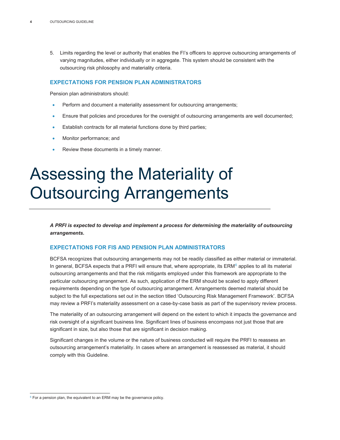5. Limits regarding the level or authority that enables the FI's officers to approve outsourcing arrangements of varying magnitudes, either individually or in aggregate. This system should be consistent with the outsourcing risk philosophy and materiality criteria.

### <span id="page-5-0"></span>**EXPECTATIONS FOR PENSION PLAN ADMINISTRATORS**

Pension plan administrators should:

- Perform and document a materiality assessment for outsourcing arrangements;
- Ensure that policies and procedures for the oversight of outsourcing arrangements are well documented;
- Establish contracts for all material functions done by third parties;
- Monitor performance; and
- Review these documents in a timely manner.

### <span id="page-5-1"></span>Assessing the Materiality of Outsourcing Arrangements

*A PRFI is expected to develop and implement a process for determining the materiality of outsourcing arrangements.*

### <span id="page-5-2"></span>**EXPECTATIONS FOR FIS AND PENSION PLAN ADMINISTRATORS**

BCFSA recognizes that outsourcing arrangements may not be readily classified as either material or immaterial. In general, BCFSA expects that a PRFI will ensure that, where appropriate, its ERM<sup>[6](#page-5-3)</sup> applies to all its material outsourcing arrangements and that the risk mitigants employed under this framework are appropriate to the particular outsourcing arrangement. As such, application of the ERM should be scaled to apply different requirements depending on the type of outsourcing arrangement. Arrangements deemed material should be subject to the full expectations set out in the section titled 'Outsourcing Risk Management Framework'. BCFSA may review a PRFI's materiality assessment on a case-by-case basis as part of the supervisory review process.

The materiality of an outsourcing arrangement will depend on the extent to which it impacts the governance and risk oversight of a significant business line. Significant lines of business encompass not just those that are significant in size, but also those that are significant in decision making.

Significant changes in the volume or the nature of business conducted will require the PRFI to reassess an outsourcing arrangement's materiality. In cases where an arrangement is reassessed as material, it should comply with this Guideline.

<span id="page-5-3"></span> $6$  For a pension plan, the equivalent to an ERM may be the governance policy.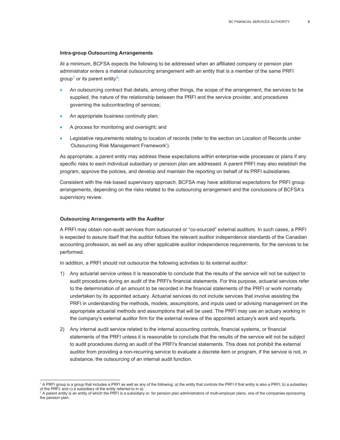#### **Intra-group Outsourcing Arrangements**

At a minimum, BCFSA expects the following to be addressed when an affiliated company or pension plan administrator enters a material outsourcing arrangement with an entity that is a member of the same PRFI group<sup>[7](#page-6-0)</sup> or its parent entity $8$ :

- An outsourcing contract that details, among other things, the scope of the arrangement, the services to be supplied, the nature of the relationship between the PRFI and the service provider, and procedures governing the subcontracting of services;
- An appropriate business continuity plan;
- A process for monitoring and oversight; and
- Legislative requirements relating to location of records (refer to the section on Location of Records under 'Outsourcing Risk Management Framework').

As appropriate, a parent entity may address these expectations within enterprise-wide processes or plans if any specific risks to each individual subsidiary or pension plan are addressed. A parent PRFI may also establish the program, approve the policies, and develop and maintain the reporting on behalf of its PRFI subsidiaries.

Consistent with the risk-based supervisory approach, BCFSA may have additional expectations for PRFI group arrangements, depending on the risks related to the outsourcing arrangement and the conclusions of BCFSA's supervisory review.

#### **Outsourcing Arrangements with the Auditor**

A PRFI may obtain non-audit services from outsourced or "co-sourced" external auditors. In such cases, a PRFI is expected to assure itself that the auditor follows the relevant auditor independence standards of the Canadian accounting profession, as well as any other applicable auditor independence requirements, for the services to be performed.

In addition, a PRFI should not outsource the following activities to its external auditor:

- 1) Any actuarial service unless it is reasonable to conclude that the results of the service will not be subject to audit procedures during an audit of the PRFI's financial statements. For this purpose, actuarial services refer to the determination of an amount to be recorded in the financial statements of the PRFI or work normally undertaken by its appointed actuary. Actuarial services do not include services that involve assisting the PRFI in understanding the methods, models, assumptions, and inputs used or advising management on the appropriate actuarial methods and assumptions that will be used. The PRFI may use an actuary working in the company's external auditor firm for the external review of the appointed actuary's work and reports.
- 2) Any internal audit service related to the internal accounting controls, financial systems, or financial statements of the PRFI unless it is reasonable to conclude that the results of the service will not be subject to audit procedures during an audit of the PRFI's financial statements. This does not prohibit the external auditor from providing a non-recurring service to evaluate a discrete item or program, if the service is not, in substance, the outsourcing of an internal audit function.

<span id="page-6-0"></span> $^7$  A PRFI group is a group that includes a PRFI as well as any of the following: a) the entity that controls the PRFI if that entity is also a PRFI; b) a subsidiary of the PRFI; and c) a subsidiary of the entity referred to in a).

<span id="page-6-1"></span> $^{\circ}$  A parent entity is an entity of which the PRFI is a subsidiary or, for pension plan administrators of multi-employer plans, one of the companies sponsoring the pension plan.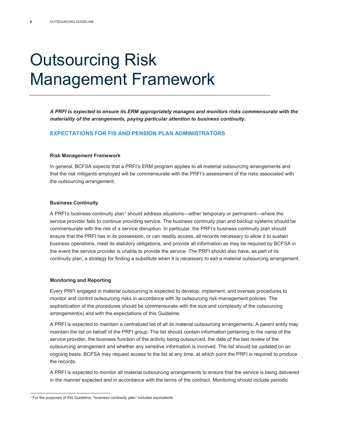### <span id="page-7-0"></span>Outsourcing Risk Management Framework

*A PRFI is expected to ensure its ERM appropriately manages and monitors risks commensurate with the materiality of the arrangements, paying particular attention to business continuity.*

### <span id="page-7-1"></span>**EXPECTATIONS FOR FIS AND PENSION PLAN ADMINISTRATORS**

#### **Risk Management Framework**

In general, BCFSA expects that a PRFI's ERM program applies to all material outsourcing arrangements and that the risk mitigants employed will be commensurate with the PRFI's assessment of the risks associated with the outsourcing arrangement.

#### **Business Continuity**

A PRFI's business continuity plan<sup>[9](#page-7-2)</sup> should address situations—either temporary or permanent—where the service provider fails to continue providing service. The business continuity plan and backup systems should be commensurate with the risk of a service disruption. In particular, the PRFI's business continuity plan should ensure that the PRFI has in its possession, or can readily access, all records necessary to allow it to sustain business operations, meet its statutory obligations, and provide all information as may be required by BCFSA in the event the service provider is unable to provide the service. The PRFI should also have, as part of its continuity plan, a strategy for finding a substitute when it is necessary to exit a material outsourcing arrangement.

#### **Monitoring and Reporting**

Every PRFI engaged in material outsourcing is expected to develop, implement, and oversee procedures to monitor and control outsourcing risks in accordance with its outsourcing risk-management policies. The sophistication of the procedures should be commensurate with the size and complexity of the outsourcing arrangement(s) and with the expectations of this Guideline.

A PRFI is expected to maintain a centralized list of all its material outsourcing arrangements. A parent entity may maintain the list on behalf of the PRFI group. The list should contain information pertaining to the name of the service provider, the business function of the activity being outsourced, the date of the last review of the outsourcing arrangement and whether any sensitive information is involved. The list should be updated on an ongoing basis. BCFSA may request access to the list at any time, at which point the PRFI is required to produce the records.

A PRFI is expected to monitor all material outsourcing arrangements to ensure that the service is being delivered in the manner expected and in accordance with the terms of the contract. Monitoring should include periodic

<span id="page-7-2"></span><sup>&</sup>lt;sup>9</sup> For the purposes of this Guideline, "business continuity plan" includes equivalents.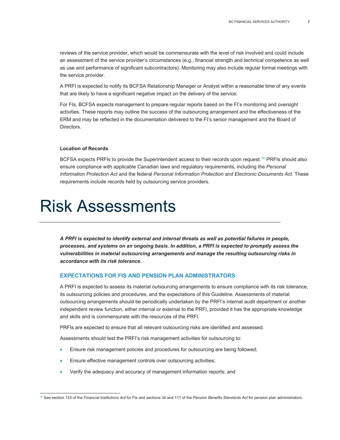reviews of the service provider, which would be commensurate with the level of risk involved and could include an assessment of the service provider's circumstances (e.g., financial strength and technical competence as well as use and performance of significant subcontractors). Monitoring may also include regular formal meetings with the service provider.

A PRFI is expected to notify its BCFSA Relationship Manager or Analyst within a reasonable time of any events that are likely to have a significant negative impact on the delivery of the service.

For FIs, BCFSA expects management to prepare regular reports based on the FI's monitoring and oversight activities. These reports may outline the success of the outsourcing arrangement and the effectiveness of the ERM and may be reflected in the documentation delivered to the FI's senior management and the Board of Directors.

#### **Location of Records**

BCFSA expects PRFIs to provide the Superintendent access to their records upon request.<sup>[10](#page-8-2)</sup> PRFIs should also ensure compliance with applicable Canadian laws and regulatory requirements, including the *Personal Information Protection Act* and the federal *Personal Information Protection and Electronic Documents Act*. These requirements include records held by outsourcing service providers.

### <span id="page-8-0"></span>Risk Assessments

*A PRFI is expected to identify external and internal threats as well as potential failures in people, processes, and systems on an ongoing basis. In addition, a PRFI is expected to promptly assess the vulnerabilities in material outsourcing arrangements and manage the resulting outsourcing risks in accordance with its risk tolerance.*

### <span id="page-8-1"></span>**EXPECTATIONS FOR FIS AND PENSION PLAN ADMINISTRATORS**

A PRFI is expected to assess its material outsourcing arrangements to ensure compliance with its risk tolerance, its outsourcing policies and procedures, and the expectations of this Guideline. Assessments of material outsourcing arrangements should be periodically undertaken by the PRFI's internal audit department or another independent review function, either internal or external to the PRFI, provided it has the appropriate knowledge and skills and is commensurate with the resources of the PRFI.

PRFIs are expected to ensure that all relevant outsourcing risks are identified and assessed.

Assessments should test the PRFI's risk management activities for outsourcing to:

- Ensure risk management policies and procedures for outsourcing are being followed;
- Ensure effective management controls over outsourcing activities;
- Verify the adequacy and accuracy of management information reports; and

<span id="page-8-2"></span><sup>10</sup> See section 133 of the *Financial Institutions Act* for FIs and sections 34 and 111 of the *Pension Benefits Standards Act* for pension plan administrators.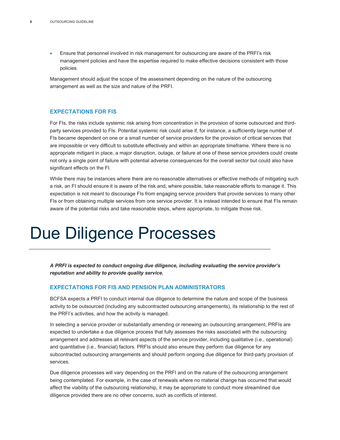• Ensure that personnel involved in risk management for outsourcing are aware of the PRFI's risk management policies and have the expertise required to make effective decisions consistent with those policies.

Management should adjust the scope of the assessment depending on the nature of the outsourcing arrangement as well as the size and nature of the PRFI.

### <span id="page-9-0"></span>**EXPECTATIONS FOR FIS**

For FIs, the risks include systemic risk arising from concentration in the provision of some outsourced and thirdparty services provided to FIs. Potential systemic risk could arise if, for instance, a sufficiently large number of FIs became dependent on one or a small number of service providers for the provision of critical services that are impossible or very difficult to substitute effectively and within an appropriate timeframe. Where there is no appropriate mitigant in place, a major disruption, outage, or failure at one of these service providers could create not only a single point of failure with potential adverse consequences for the overall sector but could also have significant effects on the FI.

While there may be instances where there are no reasonable alternatives or effective methods of mitigating such a risk, an FI should ensure it is aware of the risk and, where possible, take reasonable efforts to manage it. This expectation is not meant to discourage FIs from engaging service providers that provide services to many other FIs or from obtaining multiple services from one service provider. It is instead intended to ensure that FIs remain aware of the potential risks and take reasonable steps, where appropriate, to mitigate those risk.

### <span id="page-9-1"></span>Due Diligence Processes

*A PRFI is expected to conduct ongoing due diligence, including evaluating the service provider's reputation and ability to provide quality service.*

### <span id="page-9-2"></span>**EXPECTATIONS FOR FIS AND PENSION PLAN ADMINISTRATORS**

BCFSA expects a PRFI to conduct internal due diligence to determine the nature and scope of the business activity to be outsourced (including any subcontracted outsourcing arrangements), its relationship to the rest of the PRFI's activities, and how the activity is managed.

In selecting a service provider or substantially amending or renewing an outsourcing arrangement, PRFIs are expected to undertake a due diligence process that fully assesses the risks associated with the outsourcing arrangement and addresses all relevant aspects of the service provider, including qualitative (i.e., operational) and quantitative (i.e., financial) factors. PRFIs should also ensure they perform due diligence for any subcontracted outsourcing arrangements and should perform ongoing due diligence for third-party provision of services.

Due diligence processes will vary depending on the PRFI and on the nature of the outsourcing arrangement being contemplated. For example, in the case of renewals where no material change has occurred that would affect the viability of the outsourcing relationship, it may be appropriate to conduct more streamlined due diligence provided there are no other concerns, such as conflicts of interest.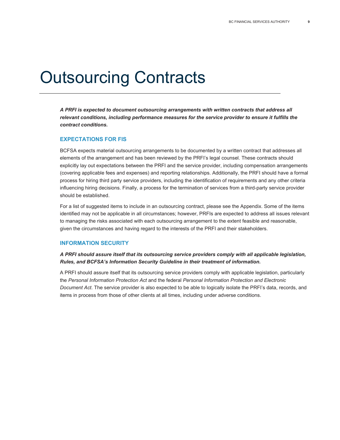### <span id="page-10-0"></span>Outsourcing Contracts

*A PRFI is expected to document outsourcing arrangements with written contracts that address all relevant conditions, including performance measures for the service provider to ensure it fulfills the contract conditions.*

### <span id="page-10-1"></span>**EXPECTATIONS FOR FIS**

BCFSA expects material outsourcing arrangements to be documented by a written contract that addresses all elements of the arrangement and has been reviewed by the PRFI's legal counsel. These contracts should explicitly lay out expectations between the PRFI and the service provider, including compensation arrangements (covering applicable fees and expenses) and reporting relationships. Additionally, the PRFI should have a formal process for hiring third party service providers, including the identification of requirements and any other criteria influencing hiring decisions. Finally, a process for the termination of services from a third-party service provider should be established.

For a list of suggested items to include in an outsourcing contract, please see the Appendix. Some of the items identified may not be applicable in all circumstances; however, PRFIs are expected to address all issues relevant to managing the risks associated with each outsourcing arrangement to the extent feasible and reasonable, given the circumstances and having regard to the interests of the PRFI and their stakeholders.

### <span id="page-10-2"></span>**INFORMATION SECURITY**

### *A PRFI should assure itself that its outsourcing service providers comply with all applicable legislation, Rules, and BCFSA's Information Security Guideline in their treatment of information.*

<span id="page-10-3"></span>A PRFI should assure itself that its outsourcing service providers comply with applicable legislation, particularly the *Personal Information Protection Act* and the federal *Personal Information Protection and Electronic Document Act*. The service provider is also expected to be able to logically isolate the PRFI's data, records, and items in process from those of other clients at all times, including under adverse conditions.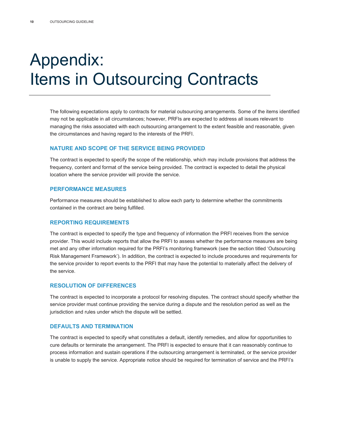### Appendix: Items in Outsourcing Contracts

The following expectations apply to contracts for material outsourcing arrangements. Some of the items identified may not be applicable in all circumstances; however, PRFIs are expected to address all issues relevant to managing the risks associated with each outsourcing arrangement to the extent feasible and reasonable, given the circumstances and having regard to the interests of the PRFI.

### <span id="page-11-0"></span>**NATURE AND SCOPE OF THE SERVICE BEING PROVIDED**

The contract is expected to specify the scope of the relationship, which may include provisions that address the frequency, content and format of the service being provided. The contract is expected to detail the physical location where the service provider will provide the service.

### <span id="page-11-1"></span>**PERFORMANCE MEASURES**

Performance measures should be established to allow each party to determine whether the commitments contained in the contract are being fulfilled.

### <span id="page-11-2"></span>**REPORTING REQUIREMENTS**

The contract is expected to specify the type and frequency of information the PRFI receives from the service provider. This would include reports that allow the PRFI to assess whether the performance measures are being met and any other information required for the PRFI's monitoring framework (see the section titled 'Outsourcing Risk Management Framework'). In addition, the contract is expected to include procedures and requirements for the service provider to report events to the PRFI that may have the potential to materially affect the delivery of the service.

### <span id="page-11-3"></span>**RESOLUTION OF DIFFERENCES**

The contract is expected to incorporate a protocol for resolving disputes. The contract should specify whether the service provider must continue providing the service during a dispute and the resolution period as well as the jurisdiction and rules under which the dispute will be settled.

### <span id="page-11-4"></span>**DEFAULTS AND TERMINATION**

The contract is expected to specify what constitutes a default, identify remedies, and allow for opportunities to cure defaults or terminate the arrangement. The PRFI is expected to ensure that it can reasonably continue to process information and sustain operations if the outsourcing arrangement is terminated, or the service provider is unable to supply the service. Appropriate notice should be required for termination of service and the PRFI's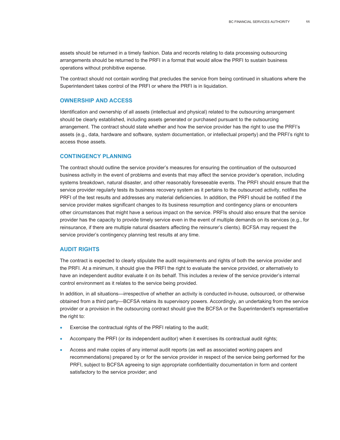assets should be returned in a timely fashion. Data and records relating to data processing outsourcing arrangements should be returned to the PRFI in a format that would allow the PRFI to sustain business operations without prohibitive expense.

The contract should not contain wording that precludes the service from being continued in situations where the Superintendent takes control of the PRFI or where the PRFI is in liquidation.

### <span id="page-12-0"></span>**OWNERSHIP AND ACCESS**

Identification and ownership of all assets (intellectual and physical) related to the outsourcing arrangement should be clearly established, including assets generated or purchased pursuant to the outsourcing arrangement. The contract should state whether and how the service provider has the right to use the PRFI's assets (e.g., data, hardware and software, system documentation, or intellectual property) and the PRFI's right to access those assets.

### <span id="page-12-1"></span>**CONTINGENCY PLANNING**

The contract should outline the service provider's measures for ensuring the continuation of the outsourced business activity in the event of problems and events that may affect the service provider's operation, including systems breakdown, natural disaster, and other reasonably foreseeable events. The PRFI should ensure that the service provider regularly tests its business recovery system as it pertains to the outsourced activity, notifies the PRFI of the test results and addresses any material deficiencies. In addition, the PRFI should be notified if the service provider makes significant changes to its business resumption and contingency plans or encounters other circumstances that might have a serious impact on the service. PRFIs should also ensure that the service provider has the capacity to provide timely service even in the event of multiple demands on its services (e.g., for reinsurance, if there are multiple natural disasters affecting the reinsurer's clients). BCFSA may request the service provider's contingency planning test results at any time.

#### <span id="page-12-2"></span>**AUDIT RIGHTS**

The contract is expected to clearly stipulate the audit requirements and rights of both the service provider and the PRFI. At a minimum, it should give the PRFI the right to evaluate the service provided, or alternatively to have an independent auditor evaluate it on its behalf. This includes a review of the service provider's internal control environment as it relates to the service being provided.

In addition, in all situations—irrespective of whether an activity is conducted in-house, outsourced, or otherwise obtained from a third party—BCFSA retains its supervisory powers. Accordingly, an undertaking from the service provider or a provision in the outsourcing contract should give the BCFSA or the Superintendent's representative the right to:

- Exercise the contractual rights of the PRFI relating to the audit;
- Accompany the PRFI (or its independent auditor) when it exercises its contractual audit rights;
- Access and make copies of any internal audit reports (as well as associated working papers and recommendations) prepared by or for the service provider in respect of the service being performed for the PRFI, subject to BCFSA agreeing to sign appropriate confidentiality documentation in form and content satisfactory to the service provider; and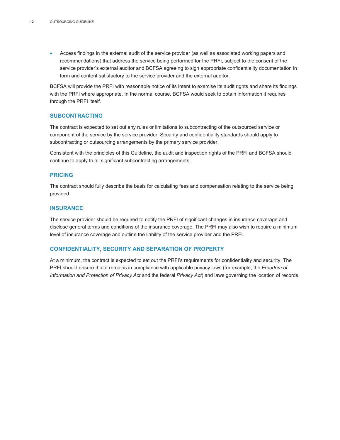• Access findings in the external audit of the service provider (as well as associated working papers and recommendations) that address the service being performed for the PRFI, subject to the consent of the service provider's external auditor and BCFSA agreeing to sign appropriate confidentiality documentation in form and content satisfactory to the service provider and the external auditor.

BCFSA will provide the PRFI with reasonable notice of its intent to exercise its audit rights and share its findings with the PRFI where appropriate. In the normal course, BCFSA would seek to obtain information it requires through the PRFI itself.

### <span id="page-13-0"></span>**SUBCONTRACTING**

The contract is expected to set out any rules or limitations to subcontracting of the outsourced service or component of the service by the service provider. Security and confidentiality standards should apply to subcontracting or outsourcing arrangements by the primary service provider.

Consistent with the principles of this Guideline, the audit and inspection rights of the PRFI and BCFSA should continue to apply to all significant subcontracting arrangements.

#### <span id="page-13-1"></span>**PRICING**

The contract should fully describe the basis for calculating fees and compensation relating to the service being provided.

### <span id="page-13-2"></span>**INSURANCE**

The service provider should be required to notify the PRFI of significant changes in insurance coverage and disclose general terms and conditions of the insurance coverage. The PRFI may also wish to require a minimum level of insurance coverage and outline the liability of the service provider and the PRFI.

### <span id="page-13-3"></span>**CONFIDENTIALITY, SECURITY AND SEPARATION OF PROPERTY**

At a minimum, the contract is expected to set out the PRFI's requirements for confidentiality and security. The PRFI should ensure that it remains in compliance with applicable privacy laws (for example, the *Freedom of Information and Protection of Privacy Act* and the federal *Privacy Act*) and laws governing the location of records.